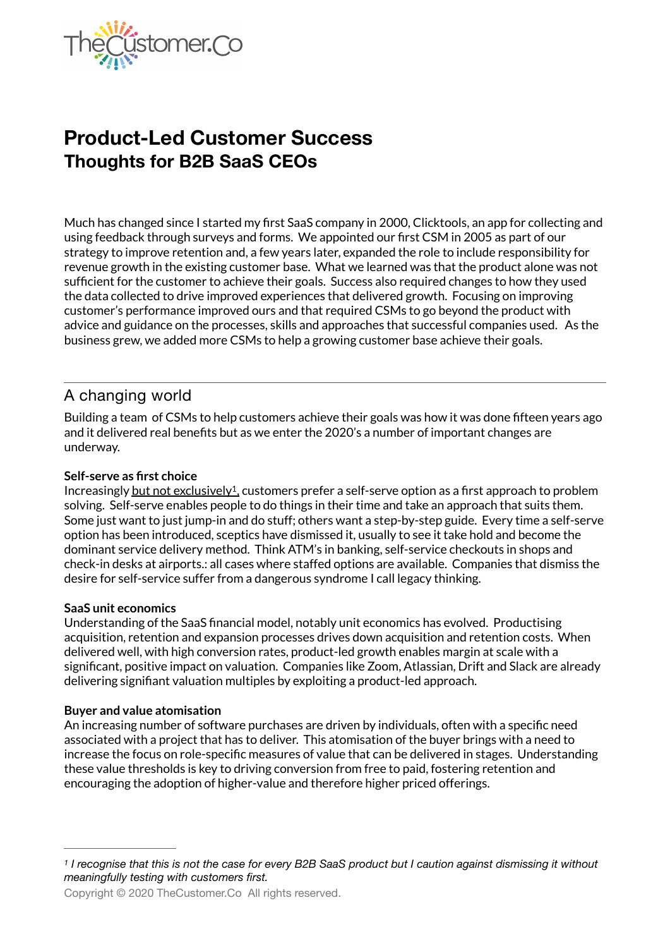

# **Product-Led Customer Success Thoughts for B2B SaaS CEOs**

Much has changed since I started my first SaaS company in 2000, Clicktools, an app for collecting and using feedback through surveys and forms. We appointed our first CSM in 2005 as part of our strategy to improve retention and, a few years later, expanded the role to include responsibility for revenue growth in the existing customer base. What we learned was that the product alone was not sufficient for the customer to achieve their goals. Success also required changes to how they used the data collected to drive improved experiences that delivered growth. Focusing on improving customer's performance improved ours and that required CSMs to go beyond the product with advice and guidance on the processes, skills and approaches that successful companies used. As the business grew, we added more CSMs to help a growing customer base achieve their goals.

## A changing world

Building a team of CSMs to help customers achieve their goals was how it was done fifteen years ago and it delivered real benefits but as we enter the 2020's a number of important changes are underway.

#### **Self-serve as first choice**

<span id="page-0-1"></span>Increasingly but not exclusively<sup>[1](#page-0-0)</sup>, customers prefer a self-serve option as a first approach to problem solving. Self-serve enables people to do things in their time and take an approach that suits them. Some just want to just jump-in and do stuff; others want a step-by-step guide. Every time a self-serve option has been introduced, sceptics have dismissed it, usually to see it take hold and become the dominant service delivery method. Think ATM's in banking, self-service checkouts in shops and check-in desks at airports.: all cases where staffed options are available. Companies that dismiss the desire for self-service suffer from a dangerous syndrome I call legacy thinking.

#### **SaaS unit economics**

Understanding of the SaaS financial model, notably unit economics has evolved. Productising acquisition, retention and expansion processes drives down acquisition and retention costs. When delivered well, with high conversion rates, product-led growth enables margin at scale with a significant, positive impact on valuation. Companies like Zoom, Atlassian, Drift and Slack are already delivering signifiant valuation multiples by exploiting a product-led approach.

#### **Buyer and value atomisation**

An increasing number of software purchases are driven by individuals, often with a specific need associated with a project that has to deliver. This atomisation of the buyer brings with a need to increase the focus on role-specific measures of value that can be delivered in stages. Understanding these value thresholds is key to driving conversion from free to paid, fostering retention and encouraging the adoption of higher-value and therefore higher priced offerings.

<span id="page-0-0"></span>*I recognise that this is not the case for every B2B SaaS product but I caution against dismissing it without [1](#page-0-1) meaningfully testing with customers first.* 

Copyright © 2020 TheCustomer.Co All rights reserved.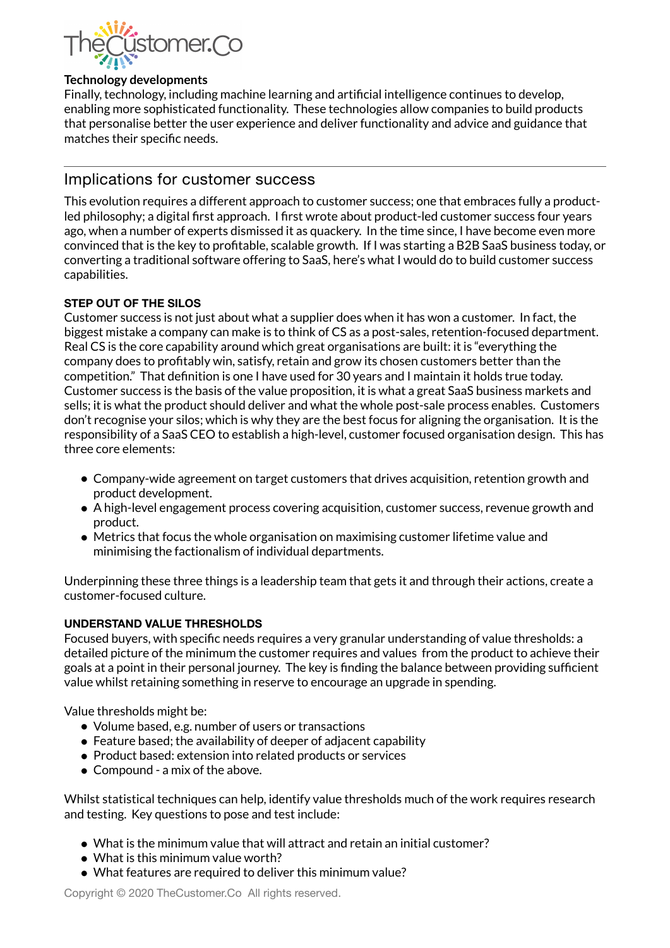

#### **Technology developments**

Finally, technology, including machine learning and artificial intelligence continues to develop, enabling more sophisticated functionality. These technologies allow companies to build products that personalise better the user experience and deliver functionality and advice and guidance that matches their specific needs.

### Implications for customer success

This evolution requires a different approach to customer success; one that embraces fully a productled philosophy; a digital first approach. I first wrote about product-led customer success four years ago, when a number of experts dismissed it as quackery. In the time since, I have become even more convinced that is the key to profitable, scalable growth. If I was starting a B2B SaaS business today, or converting a traditional software offering to SaaS, here's what I would do to build customer success capabilities.

#### **STEP OUT OF THE SILOS**

Customer success is not just about what a supplier does when it has won a customer. In fact, the biggest mistake a company can make is to think of CS as a post-sales, retention-focused department. Real CS is the core capability around which great organisations are built: it is "everything the company does to profitably win, satisfy, retain and grow its chosen customers better than the competition." That definition is one I have used for 30 years and I maintain it holds true today. Customer success is the basis of the value proposition, it is what a great SaaS business markets and sells; it is what the product should deliver and what the whole post-sale process enables. Customers don't recognise your silos; which is why they are the best focus for aligning the organisation. It is the responsibility of a SaaS CEO to establish a high-level, customer focused organisation design. This has three core elements:

- Company-wide agreement on target customers that drives acquisition, retention growth and product development.
- A high-level engagement process covering acquisition, customer success, revenue growth and product.
- Metrics that focus the whole organisation on maximising customer lifetime value and minimising the factionalism of individual departments.

Underpinning these three things is a leadership team that gets it and through their actions, create a customer-focused culture.

#### **UNDERSTAND VALUE THRESHOLDS**

Focused buyers, with specific needs requires a very granular understanding of value thresholds: a detailed picture of the minimum the customer requires and values from the product to achieve their goals at a point in their personal journey. The key is finding the balance between providing sufficient value whilst retaining something in reserve to encourage an upgrade in spending.

Value thresholds might be:

- Volume based, e.g. number of users or transactions
- Feature based; the availability of deeper of adjacent capability
- Product based: extension into related products or services
- Compound a mix of the above.

Whilst statistical techniques can help, identify value thresholds much of the work requires research and testing. Key questions to pose and test include:

- What is the minimum value that will attract and retain an initial customer?
- What is this minimum value worth?
- What features are required to deliver this minimum value?

Copyright © 2020 TheCustomer.Co All rights reserved.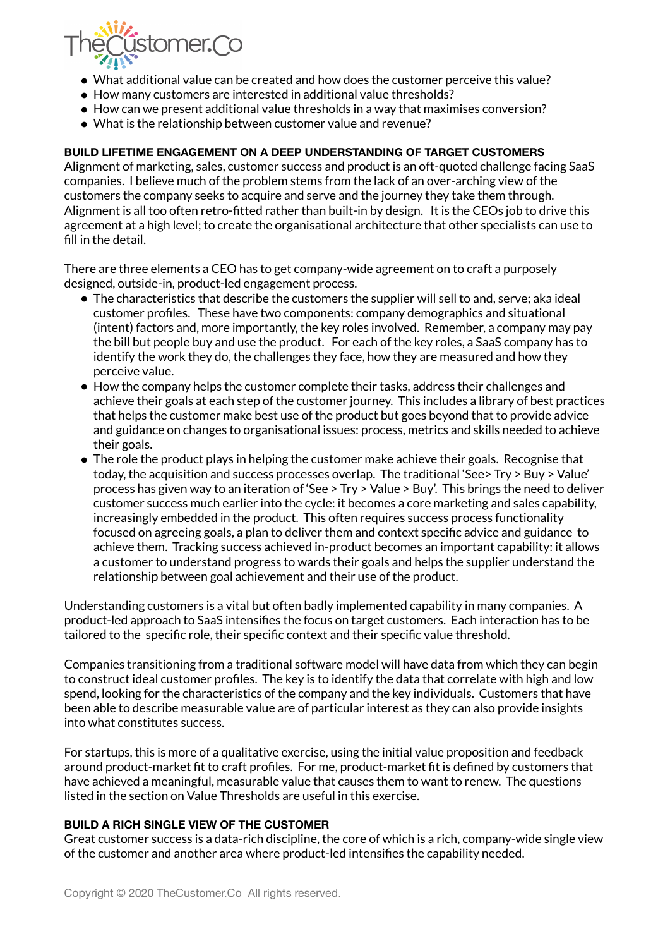

- What additional value can be created and how does the customer perceive this value?
- How many customers are interested in additional value thresholds?
- How can we present additional value thresholds in a way that maximises conversion?
- What is the relationship between customer value and revenue?

#### **BUILD LIFETIME ENGAGEMENT ON A DEEP UNDERSTANDING OF TARGET CUSTOMERS**

Alignment of marketing, sales, customer success and product is an oft-quoted challenge facing SaaS companies. I believe much of the problem stems from the lack of an over-arching view of the customers the company seeks to acquire and serve and the journey they take them through. Alignment is all too often retro-fitted rather than built-in by design. It is the CEOs job to drive this agreement at a high level; to create the organisational architecture that other specialists can use to fill in the detail.

There are three elements a CEO has to get company-wide agreement on to craft a purposely designed, outside-in, product-led engagement process.

- The characteristics that describe the customers the supplier will sell to and, serve; aka ideal customer profiles. These have two components: company demographics and situational (intent) factors and, more importantly, the key roles involved. Remember, a company may pay the bill but people buy and use the product. For each of the key roles, a SaaS company has to identify the work they do, the challenges they face, how they are measured and how they perceive value.
- How the company helps the customer complete their tasks, address their challenges and achieve their goals at each step of the customer journey. This includes a library of best practices that helps the customer make best use of the product but goes beyond that to provide advice and guidance on changes to organisational issues: process, metrics and skills needed to achieve their goals.
- The role the product plays in helping the customer make achieve their goals. Recognise that today, the acquisition and success processes overlap. The traditional 'See> Try > Buy > Value' process has given way to an iteration of 'See > Try > Value > Buy'. This brings the need to deliver customer success much earlier into the cycle: it becomes a core marketing and sales capability, increasingly embedded in the product. This often requires success process functionality focused on agreeing goals, a plan to deliver them and context specific advice and guidance to achieve them. Tracking success achieved in-product becomes an important capability: it allows a customer to understand progress to wards their goals and helps the supplier understand the relationship between goal achievement and their use of the product.

Understanding customers is a vital but often badly implemented capability in many companies. A product-led approach to SaaS intensifies the focus on target customers. Each interaction has to be tailored to the specific role, their specific context and their specific value threshold.

Companies transitioning from a traditional software model will have data from which they can begin to construct ideal customer profiles. The key is to identify the data that correlate with high and low spend, looking for the characteristics of the company and the key individuals. Customers that have been able to describe measurable value are of particular interest as they can also provide insights into what constitutes success.

For startups, this is more of a qualitative exercise, using the initial value proposition and feedback around product-market fit to craft profiles. For me, product-market fit is defined by customers that have achieved a meaningful, measurable value that causes them to want to renew. The questions listed in the section on Value Thresholds are useful in this exercise.

#### **BUILD A RICH SINGLE VIEW OF THE CUSTOMER**

Great customer success is a data-rich discipline, the core of which is a rich, company-wide single view of the customer and another area where product-led intensifies the capability needed.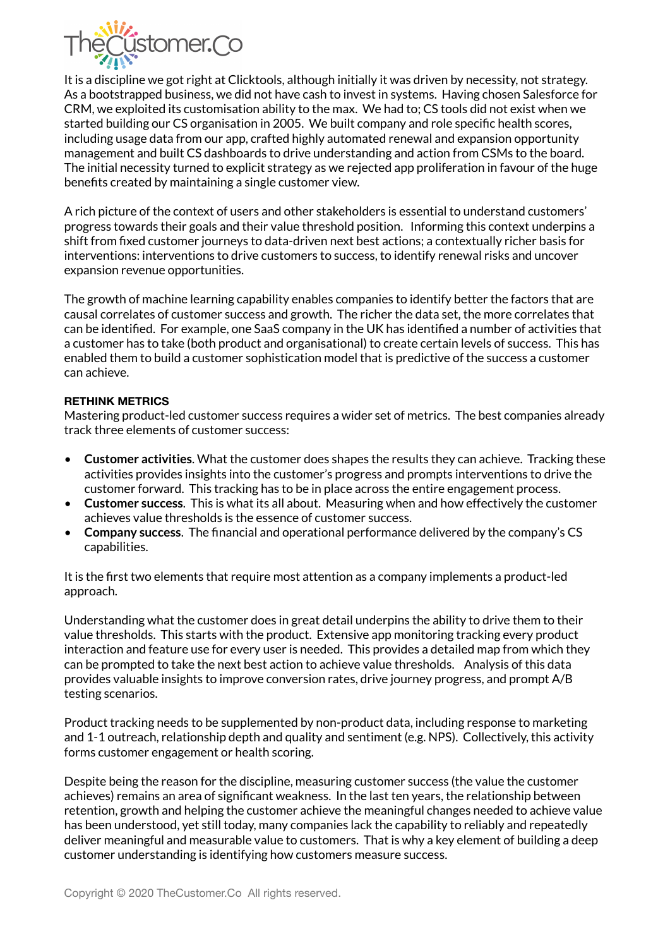

It is a discipline we got right at Clicktools, although initially it was driven by necessity, not strategy. As a bootstrapped business, we did not have cash to invest in systems. Having chosen Salesforce for CRM, we exploited its customisation ability to the max. We had to; CS tools did not exist when we started building our CS organisation in 2005. We built company and role specific health scores, including usage data from our app, crafted highly automated renewal and expansion opportunity management and built CS dashboards to drive understanding and action from CSMs to the board. The initial necessity turned to explicit strategy as we rejected app proliferation in favour of the huge benefits created by maintaining a single customer view.

A rich picture of the context of users and other stakeholders is essential to understand customers' progress towards their goals and their value threshold position. Informing this context underpins a shift from fixed customer journeys to data-driven next best actions; a contextually richer basis for interventions: interventions to drive customers to success, to identify renewal risks and uncover expansion revenue opportunities.

The growth of machine learning capability enables companies to identify better the factors that are causal correlates of customer success and growth. The richer the data set, the more correlates that can be identified. For example, one SaaS company in the UK has identified a number of activities that a customer has to take (both product and organisational) to create certain levels of success. This has enabled them to build a customer sophistication model that is predictive of the success a customer can achieve.

#### **RETHINK METRICS**

Mastering product-led customer success requires a wider set of metrics. The best companies already track three elements of customer success:

- **Customer activities**. What the customer does shapes the results they can achieve. Tracking these activities provides insights into the customer's progress and prompts interventions to drive the customer forward. This tracking has to be in place across the entire engagement process.
- **Customer success**. This is what its all about. Measuring when and how effectively the customer achieves value thresholds is the essence of customer success.
- **Company success**. The financial and operational performance delivered by the company's CS capabilities.

It is the first two elements that require most attention as a company implements a product-led approach.

Understanding what the customer does in great detail underpins the ability to drive them to their value thresholds. This starts with the product. Extensive app monitoring tracking every product interaction and feature use for every user is needed. This provides a detailed map from which they can be prompted to take the next best action to achieve value thresholds. Analysis of this data provides valuable insights to improve conversion rates, drive journey progress, and prompt A/B testing scenarios.

Product tracking needs to be supplemented by non-product data, including response to marketing and 1-1 outreach, relationship depth and quality and sentiment (e.g. NPS). Collectively, this activity forms customer engagement or health scoring.

Despite being the reason for the discipline, measuring customer success (the value the customer achieves) remains an area of significant weakness. In the last ten years, the relationship between retention, growth and helping the customer achieve the meaningful changes needed to achieve value has been understood, yet still today, many companies lack the capability to reliably and repeatedly deliver meaningful and measurable value to customers. That is why a key element of building a deep customer understanding is identifying how customers measure success.